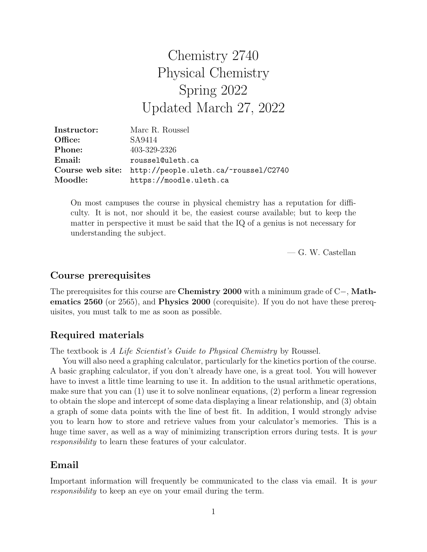# Chemistry 2740 Physical Chemistry Spring 2022 Updated March 27, 2022

| Instructor: | Marc R. Roussel                                        |
|-------------|--------------------------------------------------------|
| Office:     | SA9414                                                 |
| Phone:      | 403-329-2326                                           |
| Email:      | roussel@uleth.ca                                       |
|             | Course web site: http://people.uleth.ca/~roussel/C2740 |
| Moodle:     | https://moodle.uleth.ca                                |

On most campuses the course in physical chemistry has a reputation for difficulty. It is not, nor should it be, the easiest course available; but to keep the matter in perspective it must be said that the IQ of a genius is not necessary for understanding the subject.

— G. W. Castellan

# Course prerequisites

The prerequisites for this course are **Chemistry 2000** with a minimum grade of C−, Mathematics 2560 (or 2565), and Physics 2000 (corequisite). If you do not have these prerequisites, you must talk to me as soon as possible.

# Required materials

The textbook is A Life Scientist's Guide to Physical Chemistry by Roussel.

You will also need a graphing calculator, particularly for the kinetics portion of the course. A basic graphing calculator, if you don't already have one, is a great tool. You will however have to invest a little time learning to use it. In addition to the usual arithmetic operations, make sure that you can (1) use it to solve nonlinear equations, (2) perform a linear regression to obtain the slope and intercept of some data displaying a linear relationship, and (3) obtain a graph of some data points with the line of best fit. In addition, I would strongly advise you to learn how to store and retrieve values from your calculator's memories. This is a huge time saver, as well as a way of minimizing transcription errors during tests. It is your responsibility to learn these features of your calculator.

# Email

Important information will frequently be communicated to the class via email. It is your responsibility to keep an eye on your email during the term.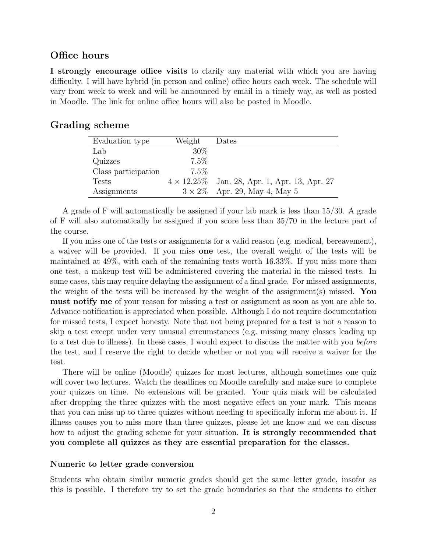### Office hours

I strongly encourage office visits to clarify any material with which you are having difficulty. I will have hybrid (in person and online) office hours each week. The schedule will vary from week to week and will be announced by email in a timely way, as well as posted in Moodle. The link for online office hours will also be posted in Moodle.

## Grading scheme

| Evaluation type     | Weight  | Dates                                                |
|---------------------|---------|------------------------------------------------------|
| Lab                 | 30%     |                                                      |
| Quizzes             | $7.5\%$ |                                                      |
| Class participation | $7.5\%$ |                                                      |
| <b>Tests</b>        |         | $4 \times 12.25\%$ Jan. 28, Apr. 1, Apr. 13, Apr. 27 |
| Assignments         |         | $3 \times 2\%$ Apr. 29, May 4, May 5                 |

A grade of F will automatically be assigned if your lab mark is less than 15/30. A grade of F will also automatically be assigned if you score less than 35/70 in the lecture part of the course.

If you miss one of the tests or assignments for a valid reason (e.g. medical, bereavement), a waiver will be provided. If you miss one test, the overall weight of the tests will be maintained at 49%, with each of the remaining tests worth 16.33%. If you miss more than one test, a makeup test will be administered covering the material in the missed tests. In some cases, this may require delaying the assignment of a final grade. For missed assignments, the weight of the tests will be increased by the weight of the assignment(s) missed. You must notify me of your reason for missing a test or assignment as soon as you are able to. Advance notification is appreciated when possible. Although I do not require documentation for missed tests, I expect honesty. Note that not being prepared for a test is not a reason to skip a test except under very unusual circumstances (e.g. missing many classes leading up to a test due to illness). In these cases, I would expect to discuss the matter with you before the test, and I reserve the right to decide whether or not you will receive a waiver for the test.

There will be online (Moodle) quizzes for most lectures, although sometimes one quiz will cover two lectures. Watch the deadlines on Moodle carefully and make sure to complete your quizzes on time. No extensions will be granted. Your quiz mark will be calculated after dropping the three quizzes with the most negative effect on your mark. This means that you can miss up to three quizzes without needing to specifically inform me about it. If illness causes you to miss more than three quizzes, please let me know and we can discuss how to adjust the grading scheme for your situation. It is strongly recommended that you complete all quizzes as they are essential preparation for the classes.

#### Numeric to letter grade conversion

Students who obtain similar numeric grades should get the same letter grade, insofar as this is possible. I therefore try to set the grade boundaries so that the students to either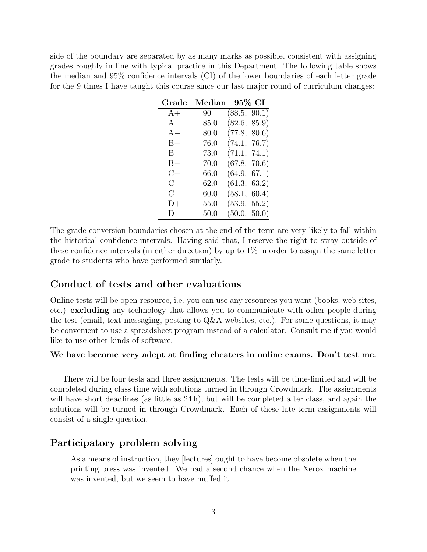side of the boundary are separated by as many marks as possible, consistent with assigning grades roughly in line with typical practice in this Department. The following table shows the median and 95% confidence intervals (CI) of the lower boundaries of each letter grade for the 9 times I have taught this course since our last major round of curriculum changes:

| Grade        | Median | 95% CI       |
|--------------|--------|--------------|
| $A+$         | 90     | (88.5, 90.1) |
| A            | 85.0   | (82.6, 85.9) |
| $A -$        | 80.0   | (77.8, 80.6) |
| $B+$         | 76.0   | (74.1, 76.7) |
| $\mathbf{B}$ | 73.0   | (71.1, 74.1) |
| $B -$        | 70.0   | (67.8, 70.6) |
| $C+$         | 66.0   | (64.9, 67.1) |
| $\rm C$      | 62.0   | (61.3, 63.2) |
| $C -$        | 60.0   | (58.1, 60.4) |
| D+           | 55.0   | (53.9, 55.2) |
| D.           | 50.0   | (50.0, 50.0) |

The grade conversion boundaries chosen at the end of the term are very likely to fall within the historical confidence intervals. Having said that, I reserve the right to stray outside of these confidence intervals (in either direction) by up to  $1\%$  in order to assign the same letter grade to students who have performed similarly.

#### Conduct of tests and other evaluations

Online tests will be open-resource, i.e. you can use any resources you want (books, web sites, etc.) excluding any technology that allows you to communicate with other people during the test (email, text messaging, posting to Q&A websites, etc.). For some questions, it may be convenient to use a spreadsheet program instead of a calculator. Consult me if you would like to use other kinds of software.

#### We have become very adept at finding cheaters in online exams. Don't test me.

There will be four tests and three assignments. The tests will be time-limited and will be completed during class time with solutions turned in through Crowdmark. The assignments will have short deadlines (as little as 24 h), but will be completed after class, and again the solutions will be turned in through Crowdmark. Each of these late-term assignments will consist of a single question.

# Participatory problem solving

As a means of instruction, they [lectures] ought to have become obsolete when the printing press was invented. We had a second chance when the Xerox machine was invented, but we seem to have muffed it.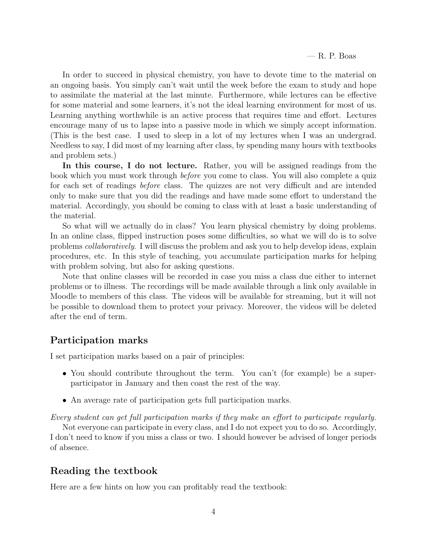In order to succeed in physical chemistry, you have to devote time to the material on an ongoing basis. You simply can't wait until the week before the exam to study and hope to assimilate the material at the last minute. Furthermore, while lectures can be effective for some material and some learners, it's not the ideal learning environment for most of us. Learning anything worthwhile is an active process that requires time and effort. Lectures encourage many of us to lapse into a passive mode in which we simply accept information. (This is the best case. I used to sleep in a lot of my lectures when I was an undergrad. Needless to say, I did most of my learning after class, by spending many hours with textbooks and problem sets.)

In this course, I do not lecture. Rather, you will be assigned readings from the book which you must work through before you come to class. You will also complete a quiz for each set of readings before class. The quizzes are not very difficult and are intended only to make sure that you did the readings and have made some effort to understand the material. Accordingly, you should be coming to class with at least a basic understanding of the material.

So what will we actually do in class? You learn physical chemistry by doing problems. In an online class, flipped instruction poses some difficulties, so what we will do is to solve problems collaboratively. I will discuss the problem and ask you to help develop ideas, explain procedures, etc. In this style of teaching, you accumulate participation marks for helping with problem solving, but also for asking questions.

Note that online classes will be recorded in case you miss a class due either to internet problems or to illness. The recordings will be made available through a link only available in Moodle to members of this class. The videos will be available for streaming, but it will not be possible to download them to protect your privacy. Moreover, the videos will be deleted after the end of term.

# Participation marks

I set participation marks based on a pair of principles:

- You should contribute throughout the term. You can't (for example) be a superparticipator in January and then coast the rest of the way.
- An average rate of participation gets full participation marks.

Every student can get full participation marks if they make an effort to participate regularly.

Not everyone can participate in every class, and I do not expect you to do so. Accordingly, I don't need to know if you miss a class or two. I should however be advised of longer periods of absence.

# Reading the textbook

Here are a few hints on how you can profitably read the textbook: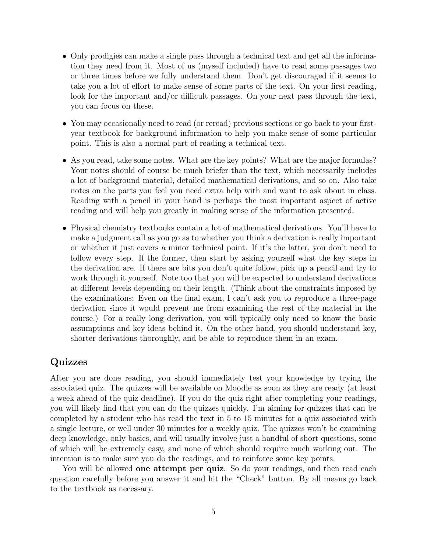- Only prodigies can make a single pass through a technical text and get all the information they need from it. Most of us (myself included) have to read some passages two or three times before we fully understand them. Don't get discouraged if it seems to take you a lot of effort to make sense of some parts of the text. On your first reading, look for the important and/or difficult passages. On your next pass through the text, you can focus on these.
- You may occasionally need to read (or reread) previous sections or go back to your firstyear textbook for background information to help you make sense of some particular point. This is also a normal part of reading a technical text.
- As you read, take some notes. What are the key points? What are the major formulas? Your notes should of course be much briefer than the text, which necessarily includes a lot of background material, detailed mathematical derivations, and so on. Also take notes on the parts you feel you need extra help with and want to ask about in class. Reading with a pencil in your hand is perhaps the most important aspect of active reading and will help you greatly in making sense of the information presented.
- Physical chemistry textbooks contain a lot of mathematical derivations. You'll have to make a judgment call as you go as to whether you think a derivation is really important or whether it just covers a minor technical point. If it's the latter, you don't need to follow every step. If the former, then start by asking yourself what the key steps in the derivation are. If there are bits you don't quite follow, pick up a pencil and try to work through it yourself. Note too that you will be expected to understand derivations at different levels depending on their length. (Think about the constraints imposed by the examinations: Even on the final exam, I can't ask you to reproduce a three-page derivation since it would prevent me from examining the rest of the material in the course.) For a really long derivation, you will typically only need to know the basic assumptions and key ideas behind it. On the other hand, you should understand key, shorter derivations thoroughly, and be able to reproduce them in an exam.

# Quizzes

After you are done reading, you should immediately test your knowledge by trying the associated quiz. The quizzes will be available on Moodle as soon as they are ready (at least a week ahead of the quiz deadline). If you do the quiz right after completing your readings, you will likely find that you can do the quizzes quickly. I'm aiming for quizzes that can be completed by a student who has read the text in 5 to 15 minutes for a quiz associated with a single lecture, or well under 30 minutes for a weekly quiz. The quizzes won't be examining deep knowledge, only basics, and will usually involve just a handful of short questions, some of which will be extremely easy, and none of which should require much working out. The intention is to make sure you do the readings, and to reinforce some key points.

You will be allowed **one attempt per quiz**. So do your readings, and then read each question carefully before you answer it and hit the "Check" button. By all means go back to the textbook as necessary.